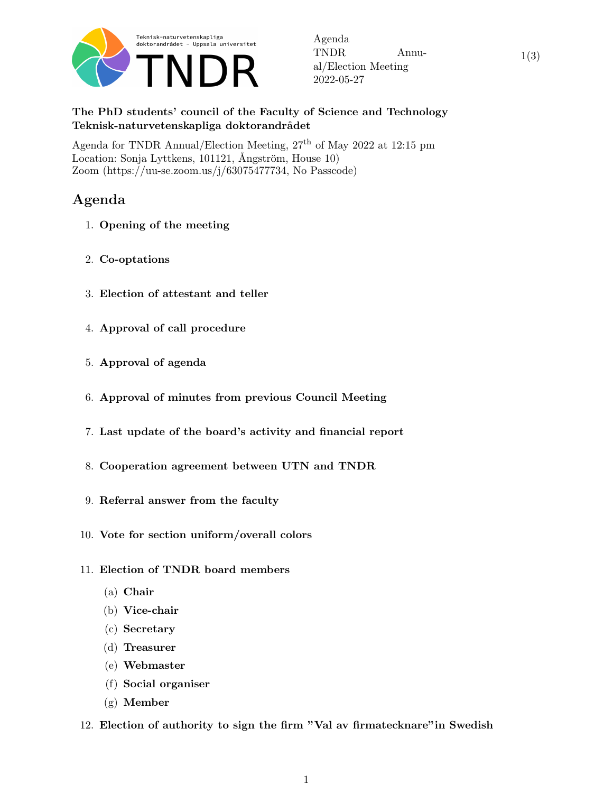

Agenda TNDR Annual/Election Meeting 2022-05-27

1(3)

## The PhD students' council of the Faculty of Science and Technology Teknisk-naturvetenskapliga doktorandrådet

Agenda for TNDR Annual/Election Meeting,  $27<sup>th</sup>$  of May 2022 at 12:15 pm Location: Sonja Lyttkens, 101121, Ångström, House 10) Zoom (https://uu-se.zoom.us/j/63075477734, No Passcode)

## Agenda

- 1. Opening of the meeting
- 2. Co-optations
- 3. Election of attestant and teller
- 4. Approval of call procedure
- 5. Approval of agenda
- 6. Approval of minutes from previous Council Meeting
- 7. Last update of the board's activity and financial report
- 8. Cooperation agreement between UTN and TNDR
- 9. Referral answer from the faculty
- 10. Vote for section uniform/overall colors
- 11. Election of TNDR board members
	- (a) Chair
	- (b) Vice-chair
	- (c) Secretary
	- (d) Treasurer
	- (e) Webmaster
	- (f) Social organiser
	- (g) Member
- 12. Election of authority to sign the firm "Val av firmatecknare"in Swedish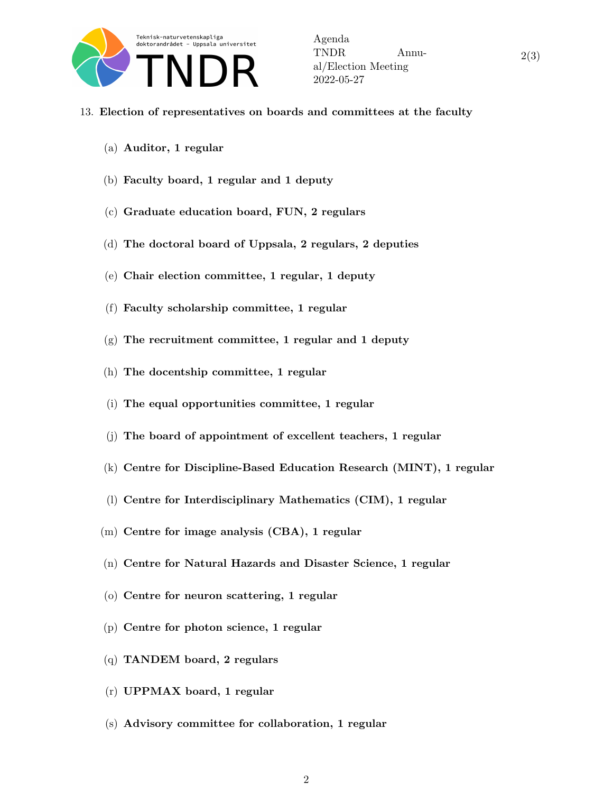

2(3)

- 13. Election of representatives on boards and committees at the faculty
	- (a) Auditor, 1 regular
	- (b) Faculty board, 1 regular and 1 deputy
	- (c) Graduate education board, FUN, 2 regulars
	- (d) The doctoral board of Uppsala, 2 regulars, 2 deputies
	- (e) Chair election committee, 1 regular, 1 deputy
	- (f) Faculty scholarship committee, 1 regular
	- $(g)$  The recruitment committee, 1 regular and 1 deputy
	- (h) The docentship committee, 1 regular
	- (i) The equal opportunities committee, 1 regular
	- (j) The board of appointment of excellent teachers, 1 regular
	- (k) Centre for Discipline-Based Education Research (MINT), 1 regular
	- (l) Centre for Interdisciplinary Mathematics (CIM), 1 regular
	- (m) Centre for image analysis (CBA), 1 regular
	- (n) Centre for Natural Hazards and Disaster Science, 1 regular
	- (o) Centre for neuron scattering, 1 regular
	- (p) Centre for photon science, 1 regular
	- (q) TANDEM board, 2 regulars
	- (r) UPPMAX board, 1 regular
	- (s) Advisory committee for collaboration, 1 regular